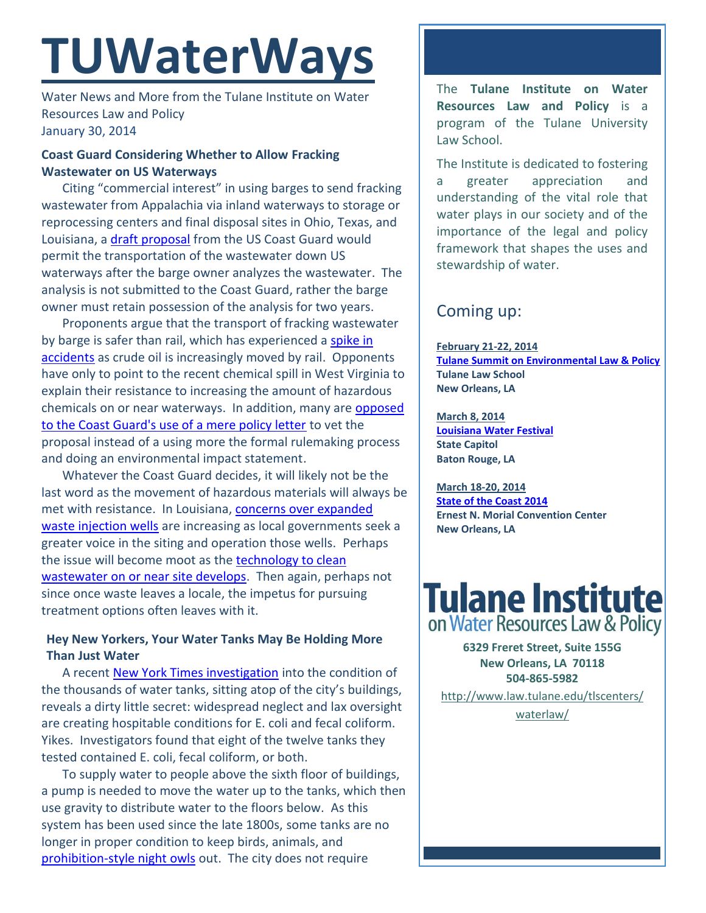# **TUWaterWays**

Water News and More from the Tulane Institute on Water Resources Law and Policy January 30, 2014

### **Coast Guard Considering Whether to Allow Fracking Wastewater on US Waterways**

Citing "commercial interest" in using barges to send fracking wastewater from Appalachia via inland waterways to storage or reprocessing centers and final disposal sites in Ohio, Texas, and Louisiana, a [draft proposal](http://www.uscg.mil/hq/cg5/cg521/docs/CG-ENG.ProposedPolicy.ShaleGasWasteWater.pdf) from the US Coast Guard would permit the transportation of the wastewater down US waterways after the barge owner analyzes the wastewater. The analysis is not submitted to the Coast Guard, rather the barge owner must retain possession of the analysis for two years.

Proponents argue that the transport of fracking wastewater by barge is safer than rail, which has experienced [a spike in](http://www.nytimes.com/2014/01/26/business/energy-environment/accidents-surge-as-oil-industry-takes-the-train.html?_r=0)  [accidents](http://www.nytimes.com/2014/01/26/business/energy-environment/accidents-surge-as-oil-industry-takes-the-train.html?_r=0) as crude oil is increasingly moved by rail. Opponents have only to point to the recent chemical spill in West Virginia to explain their resistance to increasing the amount of hazardous chemicals on or near waterways. In addition, many are [opposed](http://www.publicnewsservice.org/2014-01-23/water/concerns-continue-over-fracking-waste-on-the-ohio-river/a37056-1)  [to the Coast Guard's use of a mere policy letter](http://www.publicnewsservice.org/2014-01-23/water/concerns-continue-over-fracking-waste-on-the-ohio-river/a37056-1) to vet the proposal instead of a using more the formal rulemaking process and doing an environmental impact statement.

Whatever the Coast Guard decides, it will likely not be the last word as the movement of hazardous materials will always be met with resistance. In Louisiana, [concerns over expanded](http://www.shreveporttimes.com/videonetwork/2594061210001/Trouble-with-waste-water-wells)  [waste injection wells](http://www.shreveporttimes.com/videonetwork/2594061210001/Trouble-with-waste-water-wells) are increasing as local governments seek a greater voice in the siting and operation those wells. Perhaps the issue will become moot as the [technology to clean](http://www.technologyreview.com/news/519416/one-way-to-solve-frackings-dirty-problem/)  [wastewater on or near site develops.](http://www.technologyreview.com/news/519416/one-way-to-solve-frackings-dirty-problem/) Then again, perhaps not since once waste leaves a locale, the impetus for pursuing treatment options often leaves with it.

## **Hey New Yorkers, Your Water Tanks May Be Holding More Than Just Water**

A recent [New York Times investigation](http://www.nytimes.com/2014/01/27/nyregion/inside-citys-water-tanks-layers-of-neglect.html) into the condition of the thousands of water tanks, sitting atop of the city's buildings, reveals a dirty little secret: widespread neglect and lax oversight are creating hospitable conditions for E. coli and fecal coliform. Yikes. Investigators found that eight of the twelve tanks they tested contained E. coli, fecal coliform, or both.

To supply water to people above the sixth floor of buildings, a pump is needed to move the water up to the tanks, which then use gravity to distribute water to the floors below. As this system has been used since the late 1800s, some tanks are no longer in proper condition to keep birds, animals, and [prohibition-style night owls](http://ny.curbed.com/archives/2013/05/20/a_new_york_city_water_tower_doubles_as_a_hidden_speakeasy.php) out. The city does not require

The **Tulane Institute on Water Resources Law and Policy** is a program of the Tulane University Law School.

The Institute is dedicated to fostering a greater appreciation and understanding of the vital role that water plays in our society and of the importance of the legal and policy framework that shapes the uses and stewardship of water.

## Coming up:

**February 21-22, 2014 [Tulane Summit on Environmental Law & Policy](http://www.law.tulane.edu/tlsOrgs/tels/telc/summit.aspx) Tulane Law School New Orleans, LA**

**March 8, 2014 [Louisiana Water Festival](http://lasierraclub.org/node/96) State Capitol Baton Rouge, LA**

**March 18-20, 2014 [State of the Coast 2014](http://www.stateofthecoast.org/about-the-conference.html) Ernest N. Morial Convention Center New Orleans, LA**



**6329 Freret Street, Suite 155G New Orleans, LA 70118 504-865-5982** 

[http://www.law.tulane.edu/tlscenters/](http://www.law.tulane.edu/tlscenters/waterlaw/) [waterlaw/](http://www.law.tulane.edu/tlscenters/waterlaw/)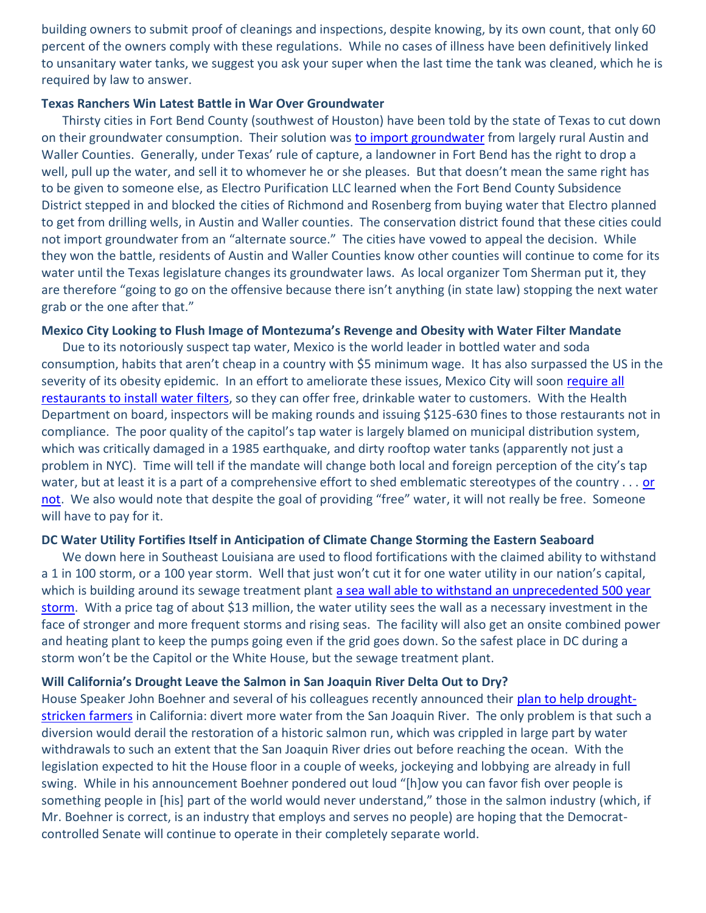building owners to submit proof of cleanings and inspections, despite knowing, by its own count, that only 60 percent of the owners comply with these regulations. While no cases of illness have been definitively linked to unsanitary water tanks, we suggest you ask your super when the last time the tank was cleaned, which he is required by law to answer.

#### **Texas Ranchers Win Latest Battle in War Over Groundwater**

Thirsty cities in Fort Bend County (southwest of Houston) have been told by the state of Texas to cut down on their groundwater consumption. Their solution was [to import groundwater](http://www.houstonchronicle.com/news/science-environment/article/Water-fight-ends-in-ranchers-favor-5170170.php) from largely rural Austin and Waller Counties. Generally, under Texas' rule of capture, a landowner in Fort Bend has the right to drop a well, pull up the water, and sell it to whomever he or she pleases. But that doesn't mean the same right has to be given to someone else, as Electro Purification LLC learned when the Fort Bend County Subsidence District stepped in and blocked the cities of Richmond and Rosenberg from buying water that Electro planned to get from drilling wells, in Austin and Waller counties. The conservation district found that these cities could not import groundwater from an "alternate source." The cities have vowed to appeal the decision. While they won the battle, residents of Austin and Waller Counties know other counties will continue to come for its water until the Texas legislature changes its groundwater laws. As local organizer Tom Sherman put it, they are therefore "going to go on the offensive because there isn't anything (in state law) stopping the next water grab or the one after that."

#### **Mexico City Looking to Flush Image of Montezuma's Revenge and Obesity with Water Filter Mandate**

Due to its notoriously suspect tap water, Mexico is the world leader in bottled water and soda consumption, habits that aren't cheap in a country with \$5 minimum wage. It has also surpassed the US in the severity of its obesity epidemic. In an effort to ameliorate these issues, Mexico City will soon [require all](http://www.chron.com/news/world/article/Mexico-City-bets-on-tap-water-law-to-change-habit-5170630.php)  [restaurants to install water](http://www.chron.com/news/world/article/Mexico-City-bets-on-tap-water-law-to-change-habit-5170630.php) filters, so they can offer free, drinkable water to customers. With the Health Department on board, inspectors will be making rounds and issuing \$125-630 fines to those restaurants not in compliance. The poor quality of the capitol's tap water is largely blamed on municipal distribution system, which was critically damaged in a 1985 earthquake, and dirty rooftop water tanks (apparently not just a problem in NYC). Time will tell if the mandate will change both local and foreign perception of the city's tap water, but at least it is a part of a comprehensive effort to shed emblematic stereotypes of the country . . . or [not.](http://twitchy.com/2014/01/27/forget-team-usas-cosby-sweaters-check-out-mexicos-ski-uniform/) We also would note that despite the goal of providing "free" water, it will not really be free. Someone will have to pay for it.

#### **DC Water Utility Fortifies Itself in Anticipation of Climate Change Storming the Eastern Seaboard**

We down here in Southeast Louisiana are used to flood fortifications with the claimed ability to withstand a 1 in 100 storm, or a 100 year storm. Well that just won't cut it for one water utility in our nation's capital, which is building around its sewage treatment plant a sea wall able to withstand an unprecedented 500 year [storm.](http://www.scientificamerican.com/article/washington-dc-water-utility-adapts-to-global-warming/) With a price tag of about \$13 million, the water utility sees the wall as a necessary investment in the face of stronger and more frequent storms and rising seas. The facility will also get an onsite combined power and heating plant to keep the pumps going even if the grid goes down. So the safest place in DC during a storm won't be the Capitol or the White House, but the sewage treatment plant.

#### **Will California's Drought Leave the Salmon in San Joaquin River Delta Out to Dry?**

House Speaker John Boehner and several of his colleagues recently announced their [plan to help drought](http://www.miamiherald.com/2014/01/21/3886266/emergency-drought-bill-to-be-introduced.html)[stricken farmers](http://www.miamiherald.com/2014/01/21/3886266/emergency-drought-bill-to-be-introduced.html) in California: divert more water from the San Joaquin River. The only problem is that such a diversion would derail the restoration of a historic salmon run, which was crippled in large part by water withdrawals to such an extent that the San Joaquin River dries out before reaching the ocean. With the legislation expected to hit the House floor in a couple of weeks, jockeying and lobbying are already in full swing. While in his announcement Boehner pondered out loud "[h]ow you can favor fish over people is something people in [his] part of the world would never understand," those in the salmon industry (which, if Mr. Boehner is correct, is an industry that employs and serves no people) are hoping that the Democratcontrolled Senate will continue to operate in their completely separate world.